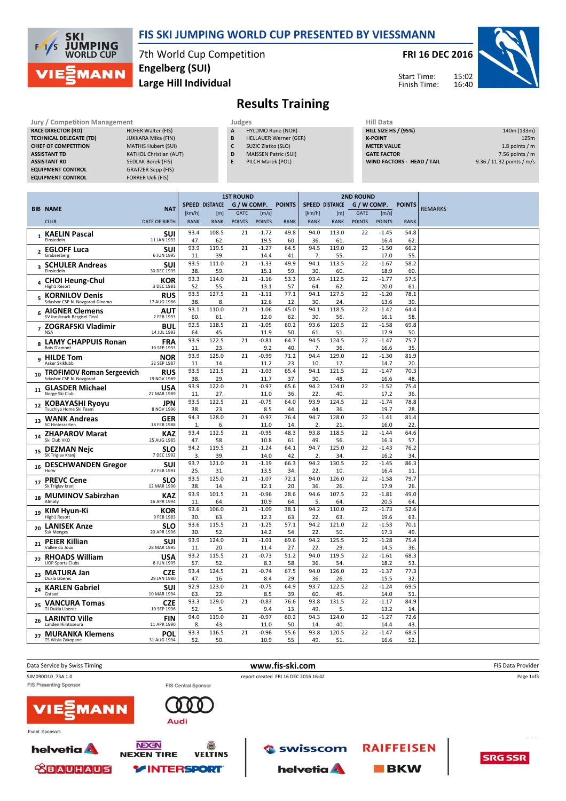

## FIS SKI JUMPING WORLD CUP PRESENTED BY VIESSMANN

7th World Cup Competition Large Hill Individual Engelberg (SUI)

FRI 16 DEC 2016



Start Time: Finish Time:

## Results Training

| Jury / Competition Management  |                               |   | Judges                       | Hill Data                         |                           |  |  |  |
|--------------------------------|-------------------------------|---|------------------------------|-----------------------------------|---------------------------|--|--|--|
| <b>RACE DIRECTOR (RD)</b>      | <b>HOFER Walter (FIS)</b>     | A | HYLDMO Rune (NOR)            | <b>HILL SIZE HS / (95%)</b>       | 140m (133m)               |  |  |  |
| <b>TECHNICAL DELEGATE (TD)</b> | JUKKARA Mika (FIN)            | B | <b>HELLAUER Werner (GER)</b> | <b>K-POINT</b>                    | 125m                      |  |  |  |
| <b>CHIEF OF COMPETITION</b>    | <b>MATHIS Hubert (SUI)</b>    |   | SUZIC Zlatko (SLO)           | <b>METER VALUE</b>                | 1.8 points / $m$          |  |  |  |
| <b>ASSISTANT TD</b>            | <b>KATHOL Christian (AUT)</b> | D | <b>MAISSEN Patric (SUI)</b>  | <b>GATE FACTOR</b>                | 7.56 points $/m$          |  |  |  |
| <b>ASSISTANT RD</b>            | SEDLAK Borek (FIS)            |   | PILCH Marek (POL)            | <b>WIND FACTORS - HEAD / TAIL</b> | 9.36 / 11.32 points / m/s |  |  |  |
| <b>EQUIPMENT CONTROL</b>       | <b>GRATZER Sepp (FIS)</b>     |   |                              |                                   |                           |  |  |  |
| <b>EQUIPMENT CONTROL</b>       | <b>FORRER Ueli (FIS)</b>      |   |                              |                                   |                           |  |  |  |

|    |                                                             |                           | <b>1ST ROUND</b>      |              |               |                 |               | <b>2ND ROUND</b>      |              |               |                 |               |                |
|----|-------------------------------------------------------------|---------------------------|-----------------------|--------------|---------------|-----------------|---------------|-----------------------|--------------|---------------|-----------------|---------------|----------------|
|    | <b>BIB NAME</b>                                             | <b>NAT</b>                | <b>SPEED DISTANCE</b> |              | G / W COMP.   |                 | <b>POINTS</b> | <b>SPEED DISTANCE</b> |              | G / W COMP.   |                 | <b>POINTS</b> | <b>REMARKS</b> |
|    |                                                             |                           | [km/h]                | [m]          | <b>GATE</b>   | [m/s]           |               | [km/h]                | [m]          | <b>GATE</b>   | [m/s]           |               |                |
|    | <b>CLUB</b>                                                 | <b>DATE OF BIRTH</b>      | <b>RANK</b>           | <b>RANK</b>  | <b>POINTS</b> | <b>POINTS</b>   | <b>RANK</b>   | <b>RANK</b>           | <b>RANK</b>  | <b>POINTS</b> | <b>POINTS</b>   | <b>RANK</b>   |                |
|    | 1 KAELIN Pascal<br>Einsiedeln                               | <b>SUI</b><br>11 JAN 1993 | 93.4<br>47.           | 108.5<br>62. | 21            | $-1.72$<br>19.5 | 49.8<br>60.   | 94.0<br>36.           | 113.0<br>61. | 22            | $-1.45$<br>16.4 | 54.8<br>62.   |                |
|    | 2 EGLOFF Luca                                               | <b>SUI</b>                | 93.9                  | 119.5        | 21            | $-1.27$         | 64.5          | 94.5                  | 119.0        | 22            | $-1.50$         | 66.2          |                |
|    | Grabserberg                                                 | 6 JUN 1995                | 11                    | 39.          |               | 14.4            | 41.           | 7.                    | 55.          |               | 17.0            | 55.           |                |
| 3  | <b>SCHULER Andreas</b><br>Einsiedeln                        | suı<br>30 DEC 1995        | 93.5<br>38.           | 111.0<br>59. | 21            | $-1.33$<br>15.1 | 49.9<br>59    | 94.1<br>30            | 113.5<br>60. | 22            | $-1.67$<br>18.9 | 58.2<br>60    |                |
|    | 4 CHOI Heung-Chul<br>High1 Resort                           | <b>KOR</b><br>3 DEC 1981  | 93.3<br>52.           | 114.0<br>55. | 21            | $-1.16$<br>13.1 | 53.3<br>57.   | 93.4<br>64            | 112.5<br>62. | 22            | $-1.77$<br>20.0 | 57.5<br>61    |                |
|    | <b>KORNILOV Denis</b><br>Sdushor CSP N. Novgorod Dinamo     | <b>RUS</b><br>17 AUG 1986 | 93.5<br>38.           | 127.5<br>8.  | 21            | $-1.11$<br>12.6 | 77.1<br>12.   | 94.1<br>30.           | 127.5<br>24. | 22            | $-1.20$<br>13.6 | 78.1<br>30.   |                |
|    | 6 AIGNER Clemens<br>SV Innsbruck-Bergisel-Tirol             | <b>AUT</b><br>2 FEB 1993  | 93.1<br>60.           | 110.0<br>61  | 21            | $-1.06$<br>12.0 | 45.0<br>62    | 94.1<br>30.           | 118.5<br>56. | 22            | $-1.42$<br>16.1 | 64.4<br>58.   |                |
|    | 7 ZOGRAFSKI Vladimir                                        | BUL                       | 92.5                  | 118.5        | 21            | $-1.05$         | 60.2          | 93.6                  | 120.5        | 22            | $-1.58$         | 69.8          |                |
|    | <b>NSA</b>                                                  | 14 JUL 1993               | 64                    | 45.          |               | 11.9            | 50.           | 61.                   | 51.          |               | 17.9            | 50            |                |
|    | 8 LAMY CHAPPUIS Ronan                                       | <b>FRA</b>                | 93.9                  | 122.5        | 21            | $-0.81$         | 64.7          | 94.5                  | 124.5        | 22            | $-1.47$         | 75.7          |                |
|    | Bois D'amont                                                | 10 SEP 1993               | 11.                   | 23.          |               | 9.2             | 40.           | 7.                    | 36.          |               | 16.6            | 35.           |                |
|    | HILDE Tom<br>Asker Skiklubb                                 | NOR<br>22 SEP 1987        | 93.9<br>11            | 125.0<br>14. | 21            | $-0.99$<br>11.2 | 71.2<br>23.   | 94.4<br>10            | 129.0<br>17. | 22            | $-1.30$<br>14.7 | 81.9<br>20    |                |
|    |                                                             |                           | 93.5                  | 121.5        | 21            | $-1.03$         | 65.4          | 94.1                  | 121.5        | 22            | $-1.47$         | 70.3          |                |
| 10 | <b>TROFIMOV Roman Sergeevich</b><br>Sdushor CSP N. Novgorod | <b>RUS</b><br>19 NOV 1989 | 38.                   | 29.          |               | 11.7            | 37.           | 30.                   | 48.          |               | 16.6            | 48.           |                |
| 11 | <b>GLASDER Michael</b>                                      | USA                       | 93.9                  | 122.0        | 21            | $-0.97$         | 65.6          | 94.2                  | 124.0        | 22            | $-1.52$         | 75.4          |                |
|    | Norge Ski Club                                              | 27 MAR 1989               | 11                    | 27.          |               | 11.0            | 36.           | 22.                   | 40.          |               | 17.2            | 36.           |                |
|    | 12 KOBAYASHI Ryoyu<br>Tsuchiya Home Ski Team                | JPN<br>8 NOV 1996         | 93.5<br>38.           | 122.5<br>23. | 21            | $-0.75$<br>8.5  | 64.0<br>44.   | 93.9<br>44.           | 124.5<br>36. | 22            | $-1.74$<br>19.7 | 78.8<br>28.   |                |
|    | <b>WANK Andreas</b>                                         | <b>GER</b>                | 94.3                  | 128.0        | 21            | $-0.97$         | 76.4          | 94.7                  | 128.0        | 22            | $-1.41$         | 81.4          |                |
| 13 | SC Hinterzarten                                             | 18 FEB 1988               | $\mathbf{1}$          | 6.           |               | 11.0            | 14.           | 2.                    | 21.          |               | 16.0            | 22.           |                |
| 14 | <b>ZHAPAROV Marat</b>                                       | <b>KAZ</b>                | 93.4                  | 112.5        | 21            | $-0.95$         | 48.3          | 93.8                  | 118.5        | 22            | $-1.44$         | 64.6          |                |
|    | Ski Club VKO                                                | 25 AUG 1985               | 47.                   | 58.          |               | 10.8            | 61            | 49.                   | 56.          |               | 16.3            | 57.           |                |
|    | 15 DEZMAN Nejc<br>SK Triglav Kranj                          | <b>SLO</b><br>7 DEC 1992  | 94.2<br>3.            | 119.5<br>39. | 21            | $-1.24$<br>14.0 | 64.1<br>42.   | 94.7<br>2.            | 125.0<br>34. | 22            | $-1.43$<br>16.2 | 76.2<br>34.   |                |
|    | 16 DESCHWANDEN Gregor                                       | <b>SUI</b>                | 93.7                  | 121.0        | 21            | $-1.19$         | 66.3          | 94.2                  | 130.5        | 22            | $-1.45$         | 86.3          |                |
|    | Horw                                                        | 27 FEB 1991               | 25.                   | 31.          |               | 13.5            | 34.           | 22.                   | 10.          |               | 16.4            | 11            |                |
|    | 17 PREVC Cene                                               | <b>SLO</b>                | 93.5                  | 125.0        | 21            | $-1.07$         | 72.1          | 94.0                  | 126.0        | 22            | $-1.58$         | 79.7          |                |
|    | Sk Triglav kranj                                            | 12 MAR 1996               | 38.                   | 14           |               | 12.1            | 20.           | 36.                   | 26.          |               | 17.9            | 26.           |                |
| 18 | <b>MUMINOV Sabirzhan</b>                                    | <b>KAZ</b>                | 93.9                  | 101.5        | 21            | $-0.96$         | 28.6          | 94.6                  | 107.5        | 22            | $-1.81$         | 49.0          |                |
|    | Almaty                                                      | 16 APR 1994               | 11<br>93.6            | 64.<br>106.0 | 21            | 10.9<br>$-1.09$ | 64.<br>38.1   | 5.<br>94.2            | 64.<br>110.0 | 22            | 20.5<br>$-1.73$ | 64.<br>52.6   |                |
|    | <sub>19</sub> KIM Hyun-Ki<br>High1 Resort                   | <b>KOR</b><br>9 FEB 1983  | 30.                   | 63.          |               | 12.3            | 63.           | 22.                   | 63.          |               | 19.6            | 63.           |                |
|    | <sub>20</sub> LANISEK Anze                                  | <b>SLO</b>                | 93.6                  | 115.5        | 21            | $-1.25$         | 57.1          | 94.2                  | 121.0        | 22            | $-1.53$         | 70.1          |                |
|    | <b>Ssk Menges</b>                                           | 20 APR 1996               | 30.                   | 52.          |               | 14.2            | 54.           | 22.                   | 50.          |               | 17.3            | 49.           |                |
|    | 21 PEIER Killian                                            | <b>SUI</b>                | 93.9                  | 124.0        | 21            | $-1.01$         | 69.6          | 94.2                  | 125.5        | 22            | $-1.28$         | 75.4          |                |
|    | Vallee du Joux                                              | 28 MAR 1995               | 11.                   | 20.          |               | 11.4            | 27.           | 22.                   | 29.          |               | 14.5            | 36.           |                |
|    | <sub>22</sub> RHOADS William<br><b>UOP Sports Clubs</b>     | <b>USA</b><br>8 JUN 1995  | 93.2<br>57.           | 115.5<br>52. | 21            | $-0.73$<br>8.3  | 51.2<br>58.   | 94.0<br>36.           | 119.5<br>54. | 22            | $-1.61$<br>18.2 | 68.3<br>53.   |                |
|    | 23 MATURA Jan                                               | <b>CZE</b>                | 93.4                  | 124.5        | 21            | $-0.74$         | 67.5          | 94.0                  | 126.0        | 22            | $-1.37$         | 77.3          |                |
|    | Dukla Liberec                                               | 29 JAN 1980               | 47.                   | 16.          |               | 8.4             | 29.           | 36.                   | 26.          |               | 15.5            | 32.           |                |
|    | 24 KARLEN Gabriel                                           | <b>SUI</b>                | 92.9                  | 123.0        | 21            | $-0.75$         | 64.9          | 93.7                  | 122.5        | 22            | $-1.24$         | 69.5          |                |
|    | Gstaad                                                      | 10 MAR 1994               | 63.<br>93.3           | 22.<br>129.0 | 21            | 8.5<br>$-0.83$  | 39.<br>76.6   | 60<br>93.8            | 45.<br>131.5 | 22            | 14.0<br>$-1.17$ | 51<br>84.9    |                |
| 25 | <b>VANCURA Tomas</b><br>TJ Dukla Liberec                    | <b>CZE</b><br>10 SEP 1996 | 52.                   | 5.           |               | 9.4             | 13.           | 49.                   | 5.           |               | 13.2            | 14            |                |
|    | <sub>26</sub> LARINTO Ville                                 | <b>FIN</b>                | 94.0                  | 119.0        | 21            | $-0.97$         | 60.2          | 94.3                  | 124.0        | 22            | $-1.27$         | 72.6          |                |
|    | Lahden Hiihtoseura                                          | 11 APR 1990               | 8.                    | 43.          |               | 11.0            | 50.           | 14.                   | 40.          |               | 14.4            | 43.           |                |
|    | 27 MURANKA Klemens                                          | POL                       | 93.3                  | 116.5        | 21            | $-0.96$         | 55.6          | 93.8                  | 120.5        | 22            | $-1.47$         | 68.5          |                |
|    | TS Wisla Zakopane                                           | 31 AUG 1994               | 52                    | 50.          |               | 10.9            | 55.           | 49.                   | 51.          |               | 16.6            | 52.           |                |

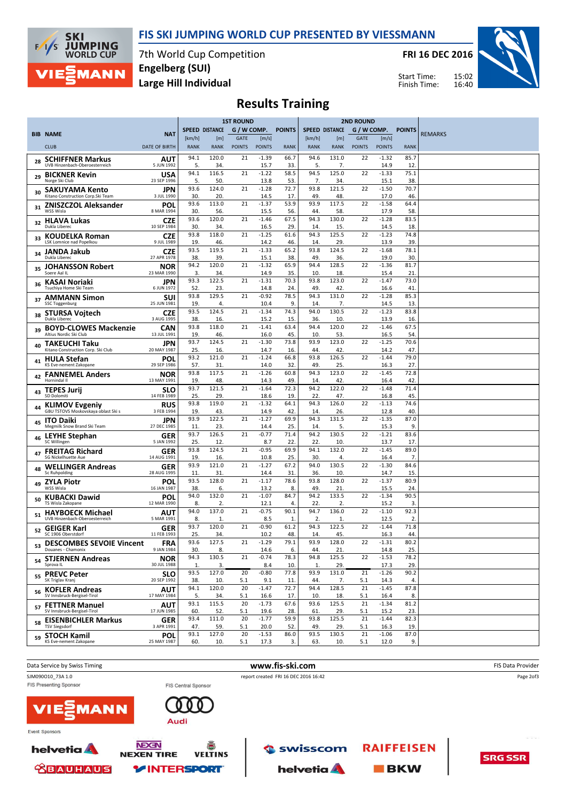



7th World Cup Competition Large Hill Individual Engelberg (SUI)

FRI 16 DEC 2016

Start Time: Finish Time:



Results Training

|    |                                                              |                           |                       |                       | <b>1ST ROUND</b>           |                        |               |                        |                    | <b>2ND ROUND</b>           |                 |               |                |
|----|--------------------------------------------------------------|---------------------------|-----------------------|-----------------------|----------------------------|------------------------|---------------|------------------------|--------------------|----------------------------|-----------------|---------------|----------------|
|    | <b>BIB NAME</b>                                              | <b>NAT</b>                |                       | <b>SPEED DISTANCE</b> | G / W COMP.<br><b>GATE</b> |                        | <b>POINTS</b> | <b>SPEED DISTANCE</b>  |                    | G / W COMP.<br><b>GATE</b> | [m/s]           | <b>POINTS</b> | <b>REMARKS</b> |
|    | <b>CLUB</b>                                                  | <b>DATE OF BIRTH</b>      | [km/h]<br><b>RANK</b> | [m]<br><b>RANK</b>    | <b>POINTS</b>              | [m/s]<br><b>POINTS</b> | <b>RANK</b>   | [km/h]<br><b>RANK</b>  | [m]<br><b>RANK</b> | <b>POINTS</b>              | <b>POINTS</b>   | <b>RANK</b>   |                |
| 28 | <b>SCHIFFNER Markus</b>                                      | AUT                       | 94.1                  | 120.0                 | 21                         | $-1.39$                | 66.7          | 94.6                   | 131.0              | 22                         | $-1.32$         | 85.7          |                |
|    | UVB Hinzenbach-Oberoesterreich<br><b>BICKNER Kevin</b>       | 5 JUN 1992<br><b>USA</b>  | 5.<br>94.1            | 34.<br>116.5          | 21                         | 15.7<br>$-1.22$        | 33.<br>58.5   | 5.<br>94.5             | 7.<br>125.0        | 22                         | 14.9<br>$-1.33$ | 12<br>75.1    |                |
| 29 | Norge Ski Club                                               | 23 SEP 1996               | 5.<br>93.6            | 50.<br>124.0          | 21                         | 13.8<br>$-1.28$        | 53.<br>72.7   | 7.<br>93.8             | 34.<br>121.5       | 22                         | 15.1<br>$-1.50$ | 38.<br>70.7   |                |
| 30 | SAKUYAMA Kento<br>Kitano Construction Corp.Ski Team          | JPN<br>3 JUL 1990         | 30.                   | 20.                   |                            | 14.5                   | 17.           | 49.                    | 48.                |                            | 17.0            | 46.           |                |
| 31 | <b>ZNISZCZOL Aleksander</b><br>WSS Wisla                     | POL<br>8 MAR 1994         | 93.6<br>30.           | 113.0<br>56.          | 21                         | $-1.37$<br>15.5        | 53.9<br>56.   | 93.9<br>44             | 117.5<br>58.       | 22                         | $-1.58$<br>17.9 | 64.4<br>58.   |                |
|    | 32 HLAVA Lukas<br>Dukla Liberec                              | <b>CZE</b><br>10 SEP 1984 | 93.6<br>30.           | 120.0<br>34.          | 21                         | $-1.46$<br>16.5        | 67.5<br>29.   | 94.3<br>14.            | 130.0<br>15.       | 22                         | $-1.28$<br>14.5 | 83.5<br>18.   |                |
| 33 | <b>KOUDELKA Roman</b><br><b>LSK Lomnice nad Popelkou</b>     | <b>CZE</b>                | 93.8                  | 118.0                 | 21                         | $-1.25$                | 61.6          | 94.3                   | 125.5              | 22                         | $-1.23$         | 74.8          |                |
| 34 | JANDA Jakub                                                  | 9 JUL 1989<br><b>CZE</b>  | 19.<br>93.5           | 46.<br>119.5          | 21                         | 14.2<br>$-1.33$        | 46.<br>65.2   | 14.<br>93.8            | 29.<br>124.5       | 22                         | 13.9<br>$-1.68$ | 39.<br>78.1   |                |
|    | Dukla Liberec<br><b>JOHANSSON Robert</b>                     | 27 APR 1978<br><b>NOR</b> | 38.<br>94.2           | 39.<br>120.0          | 21                         | 15.1<br>$-1.32$        | 38.<br>65.9   | 49.<br>94.4            | 36.<br>128.5       | 22                         | 19.0<br>$-1.36$ | 30.<br>81.7   |                |
| 35 | Soere Aal IL                                                 | 23 MAR 1990               | 3.<br>93.3            | 34.<br>122.5          | 21                         | 14.9<br>$-1.31$        | 35.<br>70.3   | 10<br>93.8             | 18.<br>123.0       | 22                         | 15.4<br>$-1.47$ | 21<br>73.0    |                |
| 36 | <b>KASAI Noriaki</b><br>Tsuchiya Home Ski Team               | JPN<br>6 JUN 1972         | 52.                   | 23.                   |                            | 14.8                   | 24.           | 49.                    | 42.                |                            | 16.6            | 41            |                |
| 37 | <b>AMMANN Simon</b><br><b>SSC Toggenburg</b>                 | SUI<br>25 JUN 1981        | 93.8<br>19.           | 129.5<br>4.           | 21                         | $-0.92$<br>10.4        | 78.5<br>9.    | 94.3<br>14             | 131.0<br>7.        | 22                         | $-1.28$<br>14.5 | 85.3<br>13.   |                |
| 38 | <b>STURSA Voitech</b><br>Dukla Liberec                       | <b>CZE</b><br>3 AUG 1995  | 93.5<br>38.           | 124.5<br>16.          | 21                         | $-1.34$<br>15.2        | 74.3<br>15.   | 94.0<br>36.            | 130.5<br>10.       | 22                         | $-1.23$<br>13.9 | 83.8<br>16.   |                |
| 39 | <b>BOYD-CLOWES Mackenzie</b><br>Altius Nordic Ski Club       | CAN<br>13 JUL 1991        | 93.8<br>19.           | 118.0<br>46.          | 21                         | $-1.41$<br>16.0        | 63.4<br>45.   | 94.4<br>10.            | 120.0<br>53.       | 22                         | $-1.46$<br>16.5 | 67.5<br>54.   |                |
| 40 | <b>TAKEUCHI Taku</b>                                         | JPN                       | 93.7                  | 124.5                 | 21                         | $-1.30$                | 73.8          | 93.9                   | 123.0              | 22                         | $-1.25$         | 70.6          |                |
| 41 | Kitano Construction Corp. Ski Club<br><b>HULA Stefan</b>     | 20 MAY 1987<br>POL        | 25.<br>93.2           | 16.<br>121.0          | 21                         | 14.7<br>$-1.24$        | 16.<br>66.8   | 44<br>93.8             | 42<br>126.5        | 22                         | 14.2<br>$-1.44$ | 47.<br>79.0   |                |
|    | KS Eve-nement Zakopane<br><b>FANNEMEL Anders</b>             | 29 SEP 1986<br><b>NOR</b> | 57.<br>93.8           | 31.<br>117.5          | 21                         | 14.0<br>$-1.26$        | 32.<br>60.8   | 49.<br>94.3            | 25.<br>123.0       | 22                         | 16.3<br>$-1.45$ | 27.<br>72.8   |                |
| 42 | Hornindal II                                                 | 13 MAY 1991               | 19.<br>93.7           | 48.<br>121.5          | 21                         | 14.3<br>$-1.64$        | 49.<br>72.3   | 14.<br>94.2            | 42<br>122.0        | 22                         | 16.4<br>$-1.48$ | 42<br>71.4    |                |
| 43 | <b>TEPES Jurij</b><br>SD Dolomiti                            | SLO<br>14 FEB 1989        | 25.                   | 29.                   |                            | 18.6                   | 19.           | 22.                    | 47.                |                            | 16.8            | 45.           |                |
|    | <b>KLIMOV Evgeniy</b><br>GBU TSTOVS Moskovskaya oblast Ski s | <b>RUS</b><br>3 FEB 1994  | 93.8<br>19.           | 119.0<br>43.          | 21                         | $-1.32$<br>14.9        | 64.1<br>42    | 94.3<br>14             | 126.0<br>26.       | 22                         | $-1.13$<br>12.8 | 74.6<br>40    |                |
| 45 | <b>ITO Daiki</b><br>Megmilk Snow Brand Ski Team              | JPN<br>27 DEC 1985        | 93.9<br>11            | 122.5<br>23.          | 21                         | $-1.27$<br>14.4        | 69.9<br>25.   | 94.3<br>14             | 131.5<br>5.        | 22                         | $-1.35$<br>15.3 | 87.0<br>9.    |                |
| 46 | <b>LEYHE Stephan</b>                                         | GER                       | 93.7                  | 126.5                 | 21                         | $-0.77$                | 71.4          | 94.2                   | 130.5              | 22                         | $-1.21$         | 83.6          |                |
| 47 | SC Willingen<br><b>FREITAG Richard</b>                       | 5 JAN 1992<br><b>GER</b>  | 25.<br>93.8           | 12.<br>124.5          | 21                         | 8.7<br>$-0.95$         | 22.<br>69.9   | 22<br>94.1             | 10.<br>132.0       | 22                         | 13.7<br>$-1.45$ | 17.<br>89.0   |                |
|    | <b>SG Nickelhuette Aue</b><br><b>WELLINGER Andreas</b>       | 14 AUG 1991<br>GER        | 19.<br>93.9           | 16.<br>121.0          | 21                         | 10.8<br>$-1.27$        | 25.<br>67.2   | 30.<br>94.0            | 4.<br>130.5        | 22                         | 16.4<br>$-1.30$ | 7.<br>84.6    |                |
| 48 | Sc Ruhpolding                                                | 28 AUG 1995               | 11.<br>93.5           | 31.<br>128.0          | 21                         | 14.4<br>$-1.17$        | 31.<br>78.6   | 36.<br>93.8            | 10.<br>128.0       | 22                         | 14.7<br>$-1.37$ | 15.<br>80.9   |                |
| 49 | <b>ZYLA Piotr</b><br>WSS Wisla                               | POL<br>16 JAN 1987        | 38.                   | 6.                    |                            | 13.2                   | 8.            | 49.                    | 21.                |                            | 15.5            | 24.           |                |
| 50 | <b>KUBACKI Dawid</b><br>TS Wisla Zakopane                    | POL<br>12 MAR 1990        | 94.0<br>8.            | 132.0<br>2.           | 21                         | $-1.07$<br>12.1        | 84.7<br>4.    | 94.2<br>22.            | 133.5<br>2.        | 22                         | $-1.34$<br>15.2 | 90.5<br>3.    |                |
| 51 | <b>HAYBOECK Michael</b><br>UVB Hinzenbach-Oberoesterreich    | AUT<br>5 MAR 1991         | 94.0<br>8.            | 137.0<br>$\mathbf{1}$ | 21                         | $-0.75$<br>8.5         | 90.1<br>1.    | 94.7<br>$\overline{2}$ | 136.0<br>1.        | 22                         | $-1.10$<br>12.5 | 92.3<br>2.    |                |
| 52 | <b>GEIGER Karl</b><br>SC 1906 Oberstdorf                     | <b>GER</b><br>11 FEB 1993 | 93.7<br>25.           | 120.0<br>34.          | 21                         | $-0.90$<br>10.2        | 61.2<br>48.   | 94.3<br>14.            | 122.5<br>45.       | 22                         | $-1.44$<br>16.3 | 71.8<br>44    |                |
| 53 | <b>DESCOMBES SEVOIE Vincent</b><br>Douanes - Chamonix        | <b>FRA</b><br>9 JAN 1984  | 93.6                  | 127.5                 | 21                         | -1.29                  | 79.1          | 93.9                   | 128.0              | 22                         | -1.31           | 80.2<br>25.   |                |
|    | <sub>54</sub> STJERNEN Andreas                               | <b>NOR</b>                | 30.<br>94.3           | 8.<br>130.5           | 21                         | 14.6<br>$-0.74$        | 6.<br>78.3    | 44.<br>94.8            | 21.<br>125.5       | 22                         | 14.8<br>$-1.53$ | 78.2          |                |
| 55 | Sprova IL<br><b>PREVC Peter</b>                              | 30 JUL 1988<br><b>SLO</b> | 1.<br>93.5            | 3.<br>127.0           | 20                         | 8.4<br>$-0.80$         | 10<br>77.8    | 1.<br>93.9             | 29.<br>131.0       | 21                         | 17.3<br>$-1.26$ | 29.<br>90.2   |                |
|    | SK Triglav Kranj<br><sub>56</sub> KOFLER Andreas             | 20 SEP 1992<br><b>AUT</b> | 38.<br>94.1           | 10.<br>120.0          | 5.1<br>20                  | 9.1<br>$-1.47$         | 11<br>72.7    | 44.<br>94.4            | 7.<br>128.5        | 5.1<br>21                  | 14.3<br>$-1.45$ | 4.<br>87.8    |                |
|    | SV Innsbruck-Bergisel-Tirol<br><sub>57</sub> FETTNER Manuel  | 17 MAY 1984<br><b>AUT</b> | 5.<br>93.1            | 34.<br>115.5          | 5.1<br>20                  | 16.6<br>$-1.73$        | 17.<br>67.6   | 10.<br>93.6            | 18.<br>125.5       | 5.1<br>21                  | 16.4<br>$-1.34$ | 8.<br>81.2    |                |
|    | SV Innsbruck-Bergisel-Tirol                                  | 17 JUN 1985               | 60.                   | 52.                   | 5.1                        | 19.6                   | 28.           | 61.                    | 29.                | 5.1                        | 15.2            | 23.           |                |
| 58 | <b>EISENBICHLER Markus</b><br><b>TSV Siegsdorf</b>           | GER<br>3 APR 1991         | 93.4<br>47.           | 111.0<br>59.          | 20<br>5.1                  | $-1.77$<br>20.0        | 59.9<br>52.   | 93.8<br>49.            | 125.5<br>29.       | 21<br>5.1                  | $-1.44$<br>16.3 | 82.3<br>19.   |                |
|    | <sub>59</sub> STOCH Kamil<br>KS Eve-nement Zakopane          | <b>POL</b><br>25 MAY 1987 | 93.1<br>60.           | 127.0<br>10.          | 20<br>5.1                  | $-1.53$<br>17.3        | 86.0<br>3.    | 93.5<br>63.            | 130.5<br>10.       | 21<br>5.1                  | $-1.06$<br>12.0 | 87.0<br>9.    |                |

Data Service by Swiss Timing **EXECUTE:** The Service of Australian Service of Australian Service of Australian Service of Australian Service of Australian Service of Australian Service of Australian Service of Australian Se SJM090O10\_73A 1.0 report created FRI 16 DEC 2016 16:42 Page 2of3 FIS Presenting Sponsor FIS Central Sponsor  $\Omega$ ANR Audi Event Sponsors **NEXEN** ă Swisscom **RAIFFEISEN helvetia NEXEN TIRE VELTINS SRG SSR ABAUHAUS BKW Y INTERSPORT helvetia**